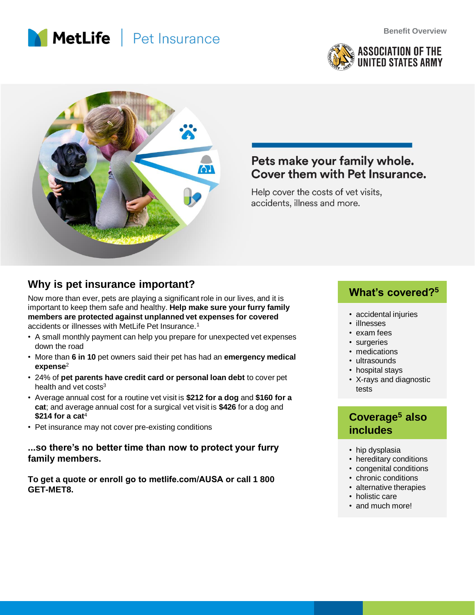





# Pets make your family whole. Cover them with Pet Insurance.

Help cover the costs of vet visits, accidents, illness and more.

# Why is pet insurance important?

Now more than ever, pets are playing a significant role in our lives, and it is important to keep them safe and healthy. **Help make sure your furry family members are protected against unplanned vet expenses for covered** accidents or illnesses with MetLife Pet Insurance.<sup>1</sup>

- A small monthly payment can help you prepare for unexpected vet expenses down the road
- More than **6 in 10** pet owners said their pet has had an **emergency medical expense**<sup>2</sup>
- 24% of **pet parents have credit card or personal loan debt** to cover pet health and vet costs $3$
- Average annual cost for a routine vet visit is **\$212 for a dog** and **\$160 for a cat**; and average annual cost for a surgical vet visit is **\$426** for a dog and **\$214 for a cat**<sup>4</sup>
- Pet insurance may not cover pre-existing conditions

### **...so there's no better time than now to protect your furry family members.**

**To get a quote or enroll go to metlife.com/AUSA or call 1 800 GET-MET8.**

- accidental injuries
- illnesses
- exam fees
- surgeries
- medications
- ultrasounds
- hospital stays
- X-rays and diagnostic tests

# **Coverage<sup>5</sup> also includes**

- hip dysplasia
- hereditary conditions
- congenital conditions
- chronic conditions
- alternative therapies
- holistic care
- and much more!